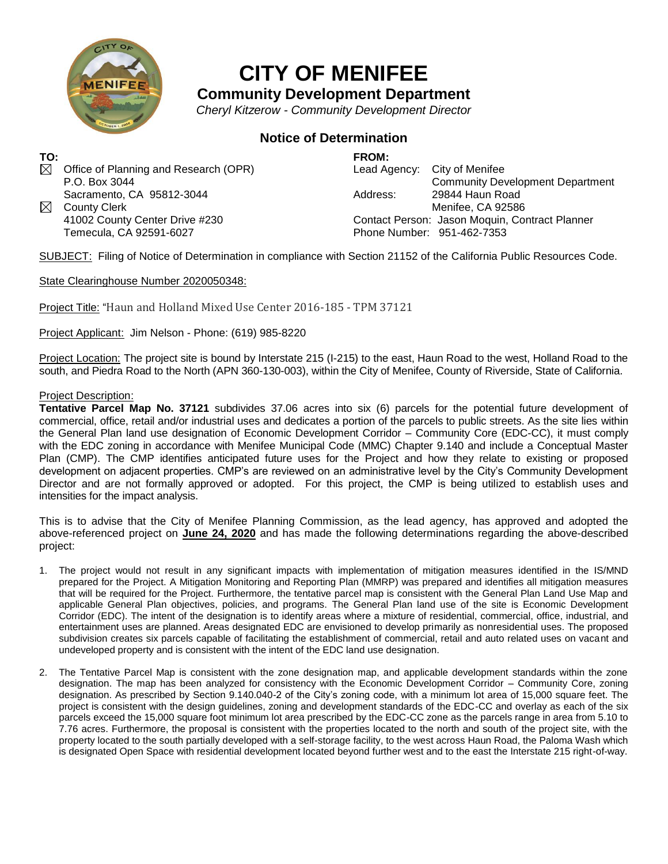

## **CITY OF MENIFEE**

**Community Development Department**

*Cheryl Kitzerow - Community Development Director*

## **Notice of Determination**

**TO:**  $\boxtimes$  Office of Planning and Research (OPR) P.O. Box 3044 Sacramento, CA 95812-3044 ⊠ County Clerk

41002 County Center Drive #230 Temecula, CA 92591-6027

**FROM:** Lead Agency: City of Menifee Community Development Department Address: 29844 Haun Road Menifee, CA 92586 Contact Person: Jason Moquin, Contract Planner Phone Number: 951-462-7353

SUBJECT: Filing of Notice of Determination in compliance with Section 21152 of the California Public Resources Code.

State Clearinghouse Number 2020050348:

Project Title: "Haun and Holland Mixed Use Center 2016-185 - TPM 37121

Project Applicant: Jim Nelson - Phone: (619) 985-8220

Project Location: The project site is bound by Interstate 215 (I-215) to the east, Haun Road to the west, Holland Road to the south, and Piedra Road to the North (APN 360-130-003), within the City of Menifee, County of Riverside, State of California.

## Project Description:

**Tentative Parcel Map No. 37121** subdivides 37.06 acres into six (6) parcels for the potential future development of commercial, office, retail and/or industrial uses and dedicates a portion of the parcels to public streets. As the site lies within the General Plan land use designation of Economic Development Corridor – Community Core (EDC-CC), it must comply with the EDC zoning in accordance with Menifee Municipal Code (MMC) Chapter 9.140 and include a Conceptual Master Plan (CMP). The CMP identifies anticipated future uses for the Project and how they relate to existing or proposed development on adjacent properties. CMP's are reviewed on an administrative level by the City's Community Development Director and are not formally approved or adopted. For this project, the CMP is being utilized to establish uses and intensities for the impact analysis.

This is to advise that the City of Menifee Planning Commission, as the lead agency, has approved and adopted the above-referenced project on **June 24, 2020** and has made the following determinations regarding the above-described project:

- 1. The project would not result in any significant impacts with implementation of mitigation measures identified in the IS/MND prepared for the Project. A Mitigation Monitoring and Reporting Plan (MMRP) was prepared and identifies all mitigation measures that will be required for the Project. Furthermore, the tentative parcel map is consistent with the General Plan Land Use Map and applicable General Plan objectives, policies, and programs. The General Plan land use of the site is Economic Development Corridor (EDC). The intent of the designation is to identify areas where a mixture of residential, commercial, office, industrial, and entertainment uses are planned. Areas designated EDC are envisioned to develop primarily as nonresidential uses. The proposed subdivision creates six parcels capable of facilitating the establishment of commercial, retail and auto related uses on vacant and undeveloped property and is consistent with the intent of the EDC land use designation.
- 2. The Tentative Parcel Map is consistent with the zone designation map, and applicable development standards within the zone designation. The map has been analyzed for consistency with the Economic Development Corridor – Community Core, zoning designation. As prescribed by Section 9.140.040-2 of the City's zoning code, with a minimum lot area of 15,000 square feet. The project is consistent with the design guidelines, zoning and development standards of the EDC-CC and overlay as each of the six parcels exceed the 15,000 square foot minimum lot area prescribed by the EDC-CC zone as the parcels range in area from 5.10 to 7.76 acres. Furthermore, the proposal is consistent with the properties located to the north and south of the project site, with the property located to the south partially developed with a self-storage facility, to the west across Haun Road, the Paloma Wash which is designated Open Space with residential development located beyond further west and to the east the Interstate 215 right-of-way.